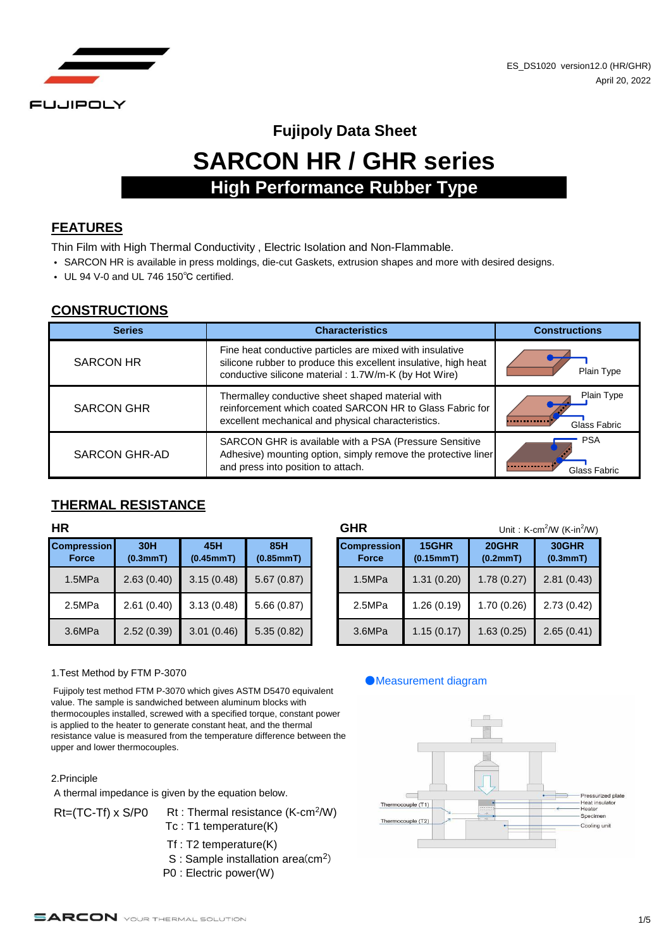

# **SARCON HR / GHR series Fujipoly Data Sheet High Performance Rubber Type**

#### **FEATURES**

Thin Film with High Thermal Conductivity , Electric Isolation and Non-Flammable.

- SARCON HR is available in press moldings, die-cut Gaskets, extrusion shapes and more with desired designs.
- UL 94 V-0 and UL 746 150℃ certified.

#### **CONSTRUCTIONS**

| <b>Series</b>        | <b>Characteristics</b>                                                                                                                                                              | <b>Constructions</b>       |
|----------------------|-------------------------------------------------------------------------------------------------------------------------------------------------------------------------------------|----------------------------|
| <b>SARCON HR</b>     | Fine heat conductive particles are mixed with insulative<br>silicone rubber to produce this excellent insulative, high heat<br>conductive silicone material: 1.7W/m-K (by Hot Wire) | Plain Type                 |
| <b>SARCON GHR</b>    | Thermalley conductive sheet shaped material with<br>reinforcement which coated SARCON HR to Glass Fabric for<br>excellent mechanical and physical characteristics.                  | Plain Type<br>Glass Fabric |
| <b>SARCON GHR-AD</b> | SARCON GHR is available with a PSA (Pressure Sensitive<br>Adhesive) mounting option, simply remove the protective liner<br>and press into position to attach.                       | <b>PSA</b><br>Glass Fabric |

#### **THERMAL RESISTANCE**

| <b>Compression</b><br><b>Force</b> | 30H<br>(0.3mmT) | 45H<br>(0.45mmT) | 85H<br>(0.85mmT) |
|------------------------------------|-----------------|------------------|------------------|
| 1.5MPa                             | 2.63(0.40)      | 3.15(0.48)       | 5.67(0.87)       |
| 2.5MPa                             | 2.61(0.40)      | 3.13(0.48)       | 5.66(0.87)       |
| 3.6MPa                             | 2.52(0.39)      | 3.01(0.46)       | 5.35(0.82)       |

| HR                                 |                 |                  |                  | <b>GHR</b>                         |                    | Unit: $K-cm^2/W$ ( $K-in^2/W$ ) |                   |  |
|------------------------------------|-----------------|------------------|------------------|------------------------------------|--------------------|---------------------------------|-------------------|--|
| <b>Compression</b><br><b>Force</b> | 30H<br>(0.3mmT) | 45H<br>(0.45mmT) | 85H<br>(0.85mmT) | <b>Compression</b><br><b>Force</b> | 15GHR<br>(0.15mmT) | 20GHR<br>(0.2mmT)               | 30GHR<br>(0.3mmT) |  |
| 1.5MPa                             | 2.63(0.40)      | 3.15(0.48)       | 5.67(0.87)       | 1.5MPa                             | 1.31(0.20)         | 1.78(0.27)                      | 2.81(0.43)        |  |
| 2.5MPa                             | 2.61(0.40)      | 3.13(0.48)       | 5.66(0.87)       | 2.5MPa                             | 1.26(0.19)         | 1.70(0.26)                      | 2.73(0.42)        |  |
| 3.6MPa                             | 2.52(0.39)      | 3.01(0.46)       | 5.35(0.82)       | 3.6MPa                             | 1.15(0.17)         | 1.63 (0.25)                     | 2.65(0.41)        |  |

#### 1.Test Method by FTM P-3070

 Fujipoly test method FTM P-3070 which gives ASTM D5470 equivalent value. The sample is sandwiched between aluminum blocks with thermocouples installed, screwed with a specified torque, constant power is applied to the heater to generate constant heat, and the thermal resistance value is measured from the temperature difference between the upper and lower thermocouples.

#### 2.Principle

A thermal impedance is given by the equation below.

- Rt=(TC-Tf) x S/P0 Rt : Thermal resistance (K-cm<sup>2</sup>/W) Tc : T1 temperature(K)
	- Tf : T2 temperature(K)
	- S : Sample installation area(cm<sup>2</sup>)
	- P0 : Electric power(W)

#### ●Measurement diagram

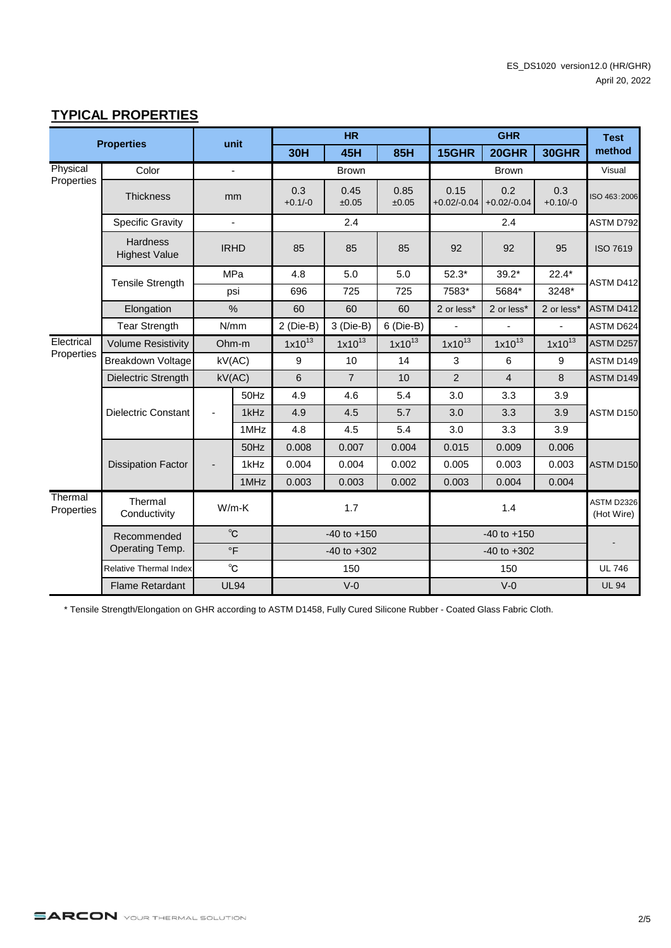### **TYPICAL PROPERTIES**

|                       | <b>Properties</b>                       |             | unit                     |                  | <b>HR</b>       |               |                       | <b>GHR</b>           |                   | <b>Test</b>                     |
|-----------------------|-----------------------------------------|-------------|--------------------------|------------------|-----------------|---------------|-----------------------|----------------------|-------------------|---------------------------------|
|                       |                                         |             |                          | <b>30H</b>       | 45H             | <b>85H</b>    | 15GHR                 | 20GHR                | 30GHR             | method                          |
| Physical              | Color                                   |             | $\overline{\phantom{a}}$ |                  | <b>Brown</b>    |               |                       | <b>Brown</b>         |                   | Visual                          |
| Properties            | <b>Thickness</b>                        |             | mm                       | 0.3<br>$+0.1/-0$ | 0.45<br>±0.05   | 0.85<br>±0.05 | 0.15<br>$+0.02/-0.04$ | 0.2<br>$+0.02/-0.04$ | 0.3<br>$+0.10/-0$ | ISO 463:2006                    |
|                       | <b>Specific Gravity</b>                 |             | L,                       |                  | 2.4             |               |                       | 2.4                  |                   | <b>ASTM D792</b>                |
|                       | <b>Hardness</b><br><b>Highest Value</b> | <b>IRHD</b> |                          | 85               | 85              | 85            | 92                    | 92                   | 95                | <b>ISO 7619</b>                 |
|                       | Tensile Strength                        |             | MPa                      | 4.8              | 5.0             | 5.0           | $52.3*$               | $39.2*$              | $22.4*$           | ASTM D412                       |
|                       |                                         |             | psi                      | 696              | 725             | 725           | 7583*                 | 5684*                | 3248*             |                                 |
|                       | Elongation                              |             | %                        | 60               | 60              | 60            | 2 or less*            | 2 or less*           | 2 or less*        | <b>ASTM D412</b>                |
|                       | <b>Tear Strength</b>                    |             | N/mm                     | $2$ (Die-B)      | 3 (Die-B)       | $6$ (Die-B)   |                       |                      |                   | ASTM D624                       |
| Electrical            | <b>Volume Resistivity</b>               | Ohm-m       |                          | $1x10^{13}$      | $1x10^{13}$     | $1x10^{13}$   | $1x10^{13}$           | $1x10^{13}$          | $1x10^{13}$       | ASTM D257                       |
|                       | Properties<br><b>Breakdown Voltage</b>  |             | kV(AC)                   | 9                | 10              | 14            | 3                     | 6                    | 9                 | ASTM D149                       |
|                       | Dielectric Strength                     |             | kV(AC)                   | 6                | $\overline{7}$  | 10            | $\overline{2}$        | $\overline{4}$       | 8                 | <b>ASTM D149</b>                |
|                       |                                         |             | 50Hz                     | 4.9              | 4.6             | 5.4           | 3.0                   | 3.3                  | 3.9               |                                 |
|                       | <b>Dielectric Constant</b>              | -           | 1kHz                     | 4.9              | 4.5             | 5.7           | 3.0                   | 3.3                  | 3.9               | ASTM D150                       |
|                       |                                         |             | 1MHz                     | 4.8              | 4.5             | 5.4           | 3.0                   | 3.3                  | 3.9               |                                 |
|                       |                                         |             | 50Hz                     | 0.008            | 0.007           | 0.004         | 0.015                 | 0.009                | 0.006             |                                 |
|                       | <b>Dissipation Factor</b>               |             | 1kHz                     | 0.004            | 0.004           | 0.002         | 0.005                 | 0.003                | 0.003             | ASTM D150                       |
|                       |                                         |             | 1MHz                     | 0.003            | 0.003           | 0.002         | 0.003                 | 0.004                | 0.004             |                                 |
| Thermal<br>Properties | Thermal<br>$W/m-K$<br>Conductivity      |             |                          |                  | 1.7             |               |                       | 1.4                  |                   | <b>ASTM D2326</b><br>(Hot Wire) |
|                       | Recommended                             |             | $^{\circ}$ C             |                  | $-40$ to $+150$ |               | $-40$ to $+150$       |                      |                   |                                 |
| Operating Temp.       |                                         |             | $\circ$ F                | $-40$ to $+302$  |                 |               | $-40$ to $+302$       |                      |                   |                                 |
|                       | <b>Relative Thermal Index</b>           |             | $^{\circ}$ C             |                  | 150             |               |                       | 150                  |                   | <b>UL 746</b>                   |
|                       | <b>Flame Retardant</b>                  |             | <b>UL94</b>              |                  | $V-0$           |               |                       | $V-0$                |                   | <b>UL 94</b>                    |

\* Tensile Strength/Elongation on GHR according to ASTM D1458, Fully Cured Silicone Rubber - Coated Glass Fabric Cloth.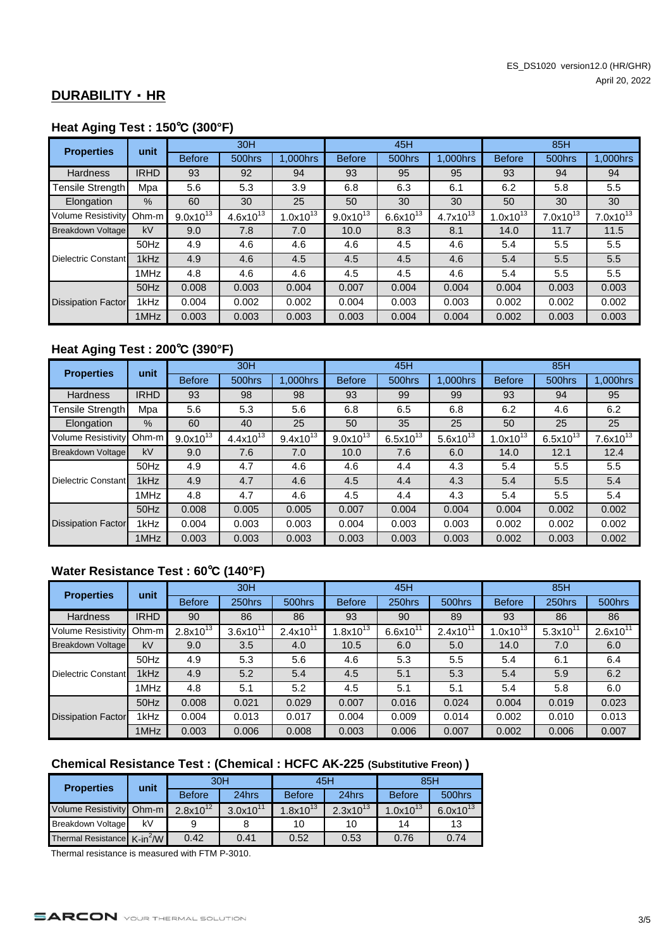#### **DURABILITY** ・ **HR**

#### **Heat Aging Test : 150**℃ **(300°F)**

| <b>Properties</b>         | unit        |               | 30H           |               | 45H           |               |               | 85H           |               |               |
|---------------------------|-------------|---------------|---------------|---------------|---------------|---------------|---------------|---------------|---------------|---------------|
|                           |             | <b>Before</b> | 500hrs        | 1,000hrs      | <b>Before</b> | 500hrs        | 1,000hrs      | <b>Before</b> | 500hrs        | 1,000hrs      |
| <b>Hardness</b>           | <b>IRHD</b> | 93            | 92            | 94            | 93            | 95            | 95            | 93            | 94            | 94            |
| <b>Tensile Strength</b>   | Mpa         | 5.6           | 5.3           | 3.9           | 6.8           | 6.3           | 6.1           | 6.2           | 5.8           | 5.5           |
| Elongation                | $\%$        | 60            | 30            | 25            | 50            | 30            | 30            | 50            | 30            | 30            |
| Volume Resistivity        | Ohm-m       | $9.0x10^{13}$ | $4.6x10^{13}$ | $1.0x10^{13}$ | $9.0x10^{13}$ | $6.6x10^{13}$ | $4.7x10^{13}$ | $1.0x10^{13}$ | $7.0x10^{13}$ | $7.0x10^{13}$ |
| Breakdown Voltage         | kV          | 9.0           | 7.8           | 7.0           | 10.0          | 8.3           | 8.1           | 14.0          | 11.7          | 11.5          |
|                           | 50Hz        | 4.9           | 4.6           | 4.6           | 4.6           | 4.5           | 4.6           | 5.4           | 5.5           | 5.5           |
| Dielectric Constant       | 1kHz        | 4.9           | 4.6           | 4.5           | 4.5           | 4.5           | 4.6           | 5.4           | 5.5           | 5.5           |
|                           | 1MHz        | 4.8           | 4.6           | 4.6           | 4.5           | 4.5           | 4.6           | 5.4           | 5.5           | 5.5           |
|                           | 50Hz        | 0.008         | 0.003         | 0.004         | 0.007         | 0.004         | 0.004         | 0.004         | 0.003         | 0.003         |
| <b>Dissipation Factor</b> | 1kHz        | 0.004         | 0.002         | 0.002         | 0.004         | 0.003         | 0.003         | 0.002         | 0.002         | 0.002         |
|                           | 1MHz        | 0.003         | 0.003         | 0.003         | 0.003         | 0.004         | 0.004         | 0.002         | 0.003         | 0.003         |

## **Heat Aging Test : 200**℃ **(390°F)**

| <b>Properties</b>         | unit        |               | 30H           |               |                        | 45H           |               | 85H           |               |               |
|---------------------------|-------------|---------------|---------------|---------------|------------------------|---------------|---------------|---------------|---------------|---------------|
|                           |             | <b>Before</b> | 500hrs        | 1,000hrs      | <b>Before</b>          | 500hrs        | 1,000hrs      | <b>Before</b> | 500hrs        | 1.000hrs      |
| <b>Hardness</b>           | <b>IRHD</b> | 93            | 98            | 98            | 93                     | 99            | 99            | 93            | 94            | 95            |
| <b>Tensile Strength</b>   | Mpa         | 5.6           | 5.3           | 5.6           | 6.8                    | 6.5           | 6.8           | 6.2           | 4.6           | 6.2           |
| Elongation                | %           | 60            | 40            | 25            | 50                     | 35            | 25            | 50            | 25            | 25            |
| <b>Volume Resistivity</b> | Ohm-m       | $9.0x10^{13}$ | $4.4x10^{13}$ | $9.4x10^{13}$ | 9.0x10 $\overline{13}$ | $6.5x10^{13}$ | $5.6x10^{13}$ | $1.0x10^{13}$ | $6.5x10^{13}$ | $7.6x10^{13}$ |
| Breakdown Voltage         | kV          | 9.0           | 7.6           | 7.0           | 10.0                   | 7.6           | 6.0           | 14.0          | 12.1          | 12.4          |
|                           | 50Hz        | 4.9           | 4.7           | 4.6           | 4.6                    | 4.4           | 4.3           | 5.4           | 5.5           | 5.5           |
| Dielectric Constant       | 1kHz        | 4.9           | 4.7           | 4.6           | 4.5                    | 4.4           | 4.3           | 5.4           | 5.5           | 5.4           |
|                           | 1MHz        | 4.8           | 4.7           | 4.6           | 4.5                    | 4.4           | 4.3           | 5.4           | 5.5           | 5.4           |
|                           | 50Hz        | 0.008         | 0.005         | 0.005         | 0.007                  | 0.004         | 0.004         | 0.004         | 0.002         | 0.002         |
| <b>Dissipation Factor</b> | 1kHz        | 0.004         | 0.003         | 0.003         | 0.004                  | 0.003         | 0.003         | 0.002         | 0.002         | 0.002         |
|                           | 1MHz        | 0.003         | 0.003         | 0.003         | 0.003                  | 0.003         | 0.003         | 0.002         | 0.003         | 0.002         |

## **Water Resistance Test : 60**℃ **(140°F)**

| <b>Properties</b>         | unit        |               | 30H           |               | 45H           |               |               | 85H           |               |               |
|---------------------------|-------------|---------------|---------------|---------------|---------------|---------------|---------------|---------------|---------------|---------------|
|                           |             | <b>Before</b> | 250hrs        | 500hrs        | <b>Before</b> | 250hrs        | 500hrs        | <b>Before</b> | 250hrs        | 500hrs        |
| <b>Hardness</b>           | <b>IRHD</b> | 90            | 86            | 86            | 93            | 90            | 89            | 93            | 86            | 86            |
| <b>Volume Resistivity</b> | Ohm-m       | $2.8x10^{13}$ | $3.6x10^{11}$ | $2.4x10^{11}$ | $1.8x10^{13}$ | $6.6x10^{11}$ | $2.4x10^{11}$ | $1.0x10^{13}$ | $5.3x10^{11}$ | $2.6x10^{11}$ |
| <b>Breakdown Voltage</b>  | kV          | 9.0           | 3.5           | 4.0           | 10.5          | 6.0           | 5.0           | 14.0          | 7.0           | 6.0           |
|                           | 50Hz        | 4.9           | 5.3           | 5.6           | 4.6           | 5.3           | 5.5           | 5.4           | 6.1           | 6.4           |
| Dielectric Constant       | 1kHz        | 4.9           | 5.2           | 5.4           | 4.5           | 5.1           | 5.3           | 5.4           | 5.9           | 6.2           |
|                           | 1MHz        | 4.8           | 5.1           | 5.2           | 4.5           | 5.1           | 5.1           | 5.4           | 5.8           | 6.0           |
|                           | 50Hz        | 0.008         | 0.021         | 0.029         | 0.007         | 0.016         | 0.024         | 0.004         | 0.019         | 0.023         |
| <b>Dissipation Factor</b> | 1kHz        | 0.004         | 0.013         | 0.017         | 0.004         | 0.009         | 0.014         | 0.002         | 0.010         | 0.013         |
|                           | 1MHz        | 0.003         | 0.006         | 0.008         | 0.003         | 0.006         | 0.007         | 0.002         | 0.006         | 0.007         |

# **Chemical Resistance Test : (Chemical : HCFC AK-225 (Substitutive Freon) )**

| <b>Properties</b>                       | unit |               | 30H           |                    | 45H           | 85H            |               |  |
|-----------------------------------------|------|---------------|---------------|--------------------|---------------|----------------|---------------|--|
|                                         |      | <b>Before</b> | 24hrs         | <b>Before</b>      | 24hrs         | <b>Before</b>  | 500hrs        |  |
| Volume Resistivity Ohm-m                |      | $2.8x10^{12}$ | $3.0x10^{11}$ | 1.8x10 $^{\rm 13}$ | $2.3x10^{13}$ | 1.0x10 $^{13}$ | $6.0x10^{13}$ |  |
| Breakdown Voltage                       | k٧   |               |               | 10                 | 10            | 14             | 13            |  |
| Thermal Resistance K-in <sup>2</sup> /W |      | 0.42          | 0.41          | 0.52               | 0.53          | 0.76           | 0.74          |  |

Thermal resistance is measured with FTM P-3010.

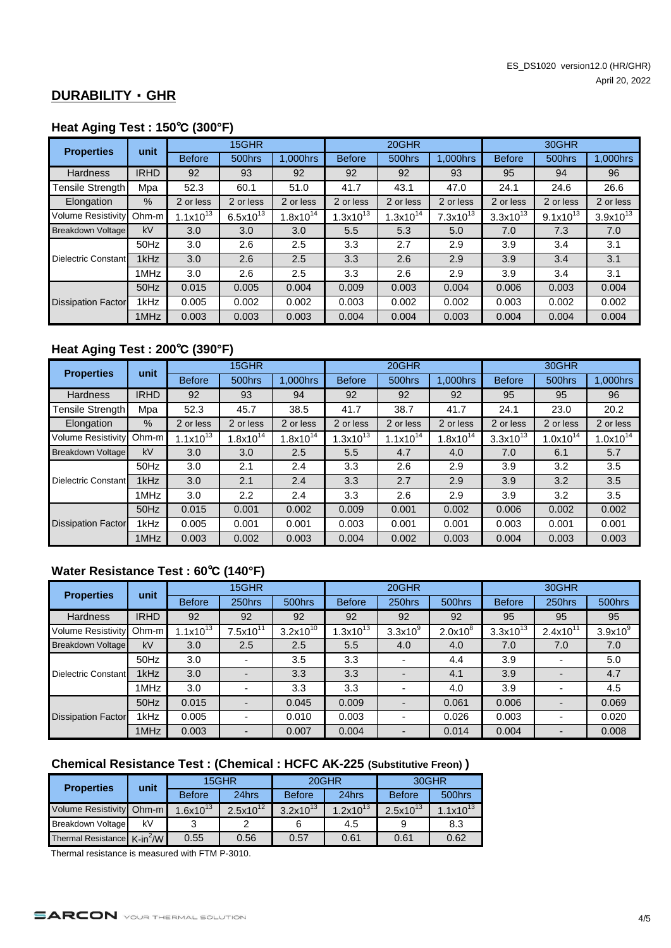#### **DURABILITY** ・ **GHR**

#### **Heat Aging Test : 150**℃ **(300°F)**

| <b>Properties</b>         | unit        |                | 15GHR            |               | 20GHR         |               |               | 30GHR         |               |               |
|---------------------------|-------------|----------------|------------------|---------------|---------------|---------------|---------------|---------------|---------------|---------------|
|                           |             | <b>Before</b>  | 500hrs           | 1.000hrs      | <b>Before</b> | 500hrs        | 1.000hrs      | <b>Before</b> | 500hrs        | 1,000hrs      |
| Hardness                  | <b>IRHD</b> | 92             | 93               | 92            | 92            | 92            | 93            | 95            | 94            | 96            |
| Tensile Strength          | Mpa         | 52.3           | 60.1             | 51.0          | 41.7          | 43.1          | 47.0          | 24.1          | 24.6          | 26.6          |
| Elongation                | $\%$        | 2 or less      | 2 or less        | 2 or less     | 2 or less     | 2 or less     | 2 or less     | 2 or less     | 2 or less     | 2 or less     |
| <b>Volume Resistivity</b> | $Ohm-m$     | 1.1x10 $^{13}$ | $6.5x10^{13}$    | $1.8x10^{14}$ | $1.3x10^{13}$ | $1.3x10^{14}$ | $7.3x10^{13}$ | $3.3x10^{13}$ | $9.1x10^{13}$ | $3.9x10^{13}$ |
| Breakdown Voltage         | kV          | 3.0            | 3.0 <sub>2</sub> | 3.0           | 5.5           | 5.3           | 5.0           | 7.0           | 7.3           | 7.0           |
|                           | 50Hz        | 3.0            | 2.6              | 2.5           | 3.3           | 2.7           | 2.9           | 3.9           | 3.4           | 3.1           |
| Dielectric Constant       | 1kHz        | 3.0            | 2.6              | 2.5           | 3.3           | 2.6           | 2.9           | 3.9           | 3.4           | 3.1           |
|                           | 1MHz        | 3.0            | 2.6              | 2.5           | 3.3           | 2.6           | 2.9           | 3.9           | 3.4           | 3.1           |
|                           | 50Hz        | 0.015          | 0.005            | 0.004         | 0.009         | 0.003         | 0.004         | 0.006         | 0.003         | 0.004         |
| <b>Dissipation Factor</b> | 1kHz        | 0.005          | 0.002            | 0.002         | 0.003         | 0.002         | 0.002         | 0.003         | 0.002         | 0.002         |
|                           | 1MHz        | 0.003          | 0.003            | 0.003         | 0.004         | 0.004         | 0.003         | 0.004         | 0.004         | 0.004         |

# **Heat Aging Test : 200**℃ **(390°F)**

| <b>Properties</b>         | unit        |                        | 15GHR         |               | 20GHR         |               |               | 30GHR         |               |               |
|---------------------------|-------------|------------------------|---------------|---------------|---------------|---------------|---------------|---------------|---------------|---------------|
|                           |             | <b>Before</b>          | 500hrs        | 1,000hrs      | <b>Before</b> | 500hrs        | 1,000hrs      | <b>Before</b> | 500hrs        | 1.000hrs      |
| <b>Hardness</b>           | <b>IRHD</b> | 92                     | 93            | 94            | 92            | 92            | 92            | 95            | 95            | 96            |
| <b>Tensile Strength</b>   | Mpa         | 52.3                   | 45.7          | 38.5          | 41.7          | 38.7          | 41.7          | 24.1          | 23.0          | 20.2          |
| Elongation                | %           | 2 or less              | 2 or less     | 2 or less     | 2 or less     | 2 or less     | 2 or less     | 2 or less     | 2 or less     | 2 or less     |
| <b>Volume Resistivity</b> | Ohm-m       | 1.1x10 $\overline{13}$ | $1.8x10^{14}$ | $1.8x10^{14}$ | $1.3x10^{13}$ | $1.1x10^{14}$ | $1.8x10^{14}$ | $3.3x10^{13}$ | $1.0x10^{14}$ | $1.0x10^{14}$ |
| <b>Breakdown Voltage</b>  | kV          | 3.0                    | 3.0           | 2.5           | 5.5           | 4.7           | 4.0           | 7.0           | 6.1           | 5.7           |
|                           | 50Hz        | 3.0                    | 2.1           | 2.4           | 3.3           | 2.6           | 2.9           | 3.9           | 3.2           | 3.5           |
| Dielectric Constant       | 1kHz        | 3.0                    | 2.1           | 2.4           | 3.3           | 2.7           | 2.9           | 3.9           | 3.2           | 3.5           |
|                           | 1MHz        | 3.0                    | 2.2           | 2.4           | 3.3           | 2.6           | 2.9           | 3.9           | 3.2           | 3.5           |
|                           | 50Hz        | 0.015                  | 0.001         | 0.002         | 0.009         | 0.001         | 0.002         | 0.006         | 0.002         | 0.002         |
| <b>Dissipation Factor</b> | 1kHz        | 0.005                  | 0.001         | 0.001         | 0.003         | 0.001         | 0.001         | 0.003         | 0.001         | 0.001         |
|                           | 1MHz        | 0.003                  | 0.002         | 0.003         | 0.004         | 0.002         | 0.003         | 0.004         | 0.003         | 0.003         |

# **Water Resistance Test : 60**℃ **(140°F)**

| <b>Properties</b>         | unit        |               | 15GHR         |               | 20GHR         |            |            | 30GHR                    |                          |                     |
|---------------------------|-------------|---------------|---------------|---------------|---------------|------------|------------|--------------------------|--------------------------|---------------------|
|                           |             | <b>Before</b> | 250hrs        | 500hrs        | <b>Before</b> | 250hrs     | 500hrs     | <b>Before</b>            | 250hrs                   | 500hrs              |
| <b>Hardness</b>           | <b>IRHD</b> | 92            | 92            | 92            | 92            | 92         | 92         | 95                       | 95                       | 95                  |
| <b>Volume Resistivity</b> | $Ohm-m$     | $1.1x10^{13}$ | $7.5x10^{11}$ | $3.2x10^{10}$ | $1.3x10^{13}$ | $3.3x10^9$ | $2.0x10^8$ | $3.3x\overline{10}^{13}$ | $2.4x10^{11}$            | 3.9x10 <sup>9</sup> |
| Breakdown Voltage         | kV          | 3.0           | 2.5           | 2.5           | 5.5           | 4.0        | 4.0        | 7.0                      | 7.0                      | 7.0                 |
|                           | 50Hz        | 3.0           |               | 3.5           | 3.3           |            | 4.4        | 3.9                      |                          | 5.0                 |
| Dielectric Constant       | 1kHz        | 3.0           |               | 3.3           | 3.3           |            | 4.1        | 3.9                      |                          | 4.7                 |
|                           | 1MHz        | 3.0           |               | 3.3           | 3.3           |            | 4.0        | 3.9                      |                          | 4.5                 |
|                           | 50Hz        | 0.015         |               | 0.045         | 0.009         |            | 0.061      | 0.006                    |                          | 0.069               |
| <b>Dissipation Factor</b> | 1kHz        | 0.005         |               | 0.010         | 0.003         |            | 0.026      | 0.003                    | $\overline{\phantom{a}}$ | 0.020               |
|                           | 1MHz        | 0.003         |               | 0.007         | 0.004         |            | 0.014      | 0.004                    |                          | 0.008               |

# **Chemical Resistance Test : (Chemical : HCFC AK-225 (Substitutive Freon) )**

| <b>Properties</b>                       | unit |               | 15GHR         |               | 20GHR         | 30GHR         |               |  |
|-----------------------------------------|------|---------------|---------------|---------------|---------------|---------------|---------------|--|
|                                         |      | <b>Before</b> | 24hrs         | <b>Before</b> | 24hrs         | <b>Before</b> | 500hrs        |  |
| Volume Resistivity Ohm-m                |      | $.6x10^{13}$  | $2.5x10^{12}$ | $3.2x10^{13}$ | $1.2x10^{13}$ | $2.5x10^{13}$ | $1.1x10^{13}$ |  |
| <b>Breakdown Voltage</b>                | k٧   |               |               |               | 4.5           |               | 8.3           |  |
| Thermal Resistance K-in <sup>2</sup> /W |      | 0.55          | 0.56          | 0.57          | 0.61          | 0.61          | 0.62          |  |

Thermal resistance is measured with FTM P-3010.